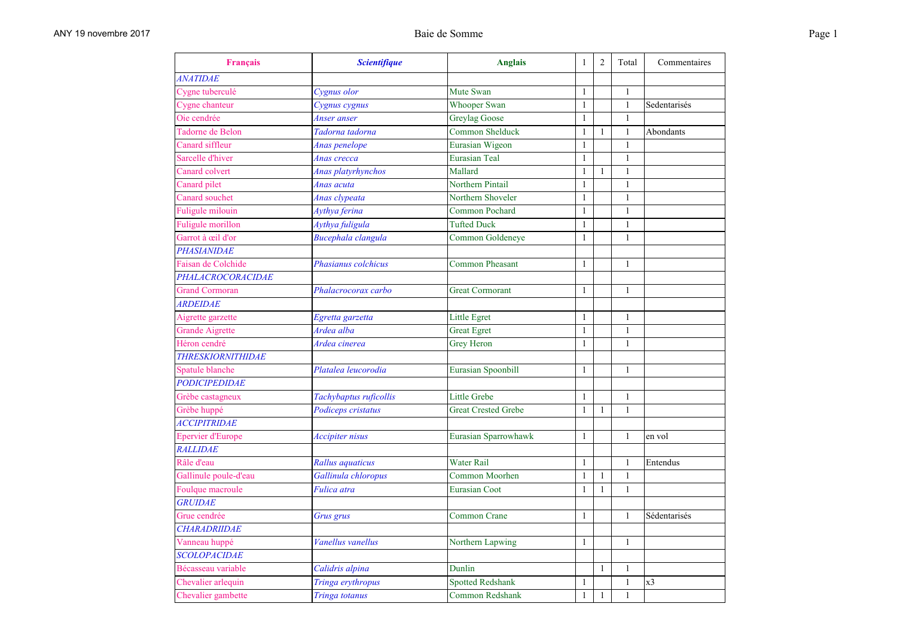| Français                   | <b>Scientifique</b>    | <b>Anglais</b>             | $\mathbf{1}$ | $\overline{2}$ | Total        | Commentaires   |
|----------------------------|------------------------|----------------------------|--------------|----------------|--------------|----------------|
| <b>ANATIDAE</b>            |                        |                            |              |                |              |                |
| Cygne tuberculé            | Cygnus olor            | Mute Swan                  | 1            |                | 1            |                |
| Cygne chanteur             | Cygnus cygnus          | <b>Whooper Swan</b>        | $\mathbf{1}$ |                | $\mathbf{1}$ | Sedentarisés   |
| Oie cendrée                | Anser anser            | <b>Greylag Goose</b>       | $\mathbf{1}$ |                | $\mathbf{1}$ |                |
| Tadorne de Belon           | Tadorna tadorna        | Common Shelduck            | 1            | 1              | 1            | Abondants      |
| Canard siffleur            | Anas penelope          | Eurasian Wigeon            | $\mathbf{1}$ |                | $\mathbf{1}$ |                |
| Sarcelle d'hiver           | Anas crecca            | <b>Eurasian Teal</b>       | $\mathbf{1}$ |                | $\mathbf{1}$ |                |
| Canard colvert             | Anas platyrhynchos     | Mallard                    | $\mathbf{1}$ | 1              | $\mathbf{1}$ |                |
| Canard pilet               | Anas acuta             | Northern Pintail           | $\mathbf{1}$ |                | $\mathbf{1}$ |                |
| Canard souchet             | Anas clypeata          | Northern Shoveler          | $\mathbf{1}$ |                | $\mathbf{1}$ |                |
| Fuligule milouin           | Aythya ferina          | Common Pochard             | $\mathbf{1}$ |                | $\mathbf{1}$ |                |
| Fuligule morillon          | Aythya fuligula        | <b>Tufted Duck</b>         | $\mathbf{1}$ |                | $\mathbf{1}$ |                |
| Garrot à œil d'or          | Bucephala clangula     | Common Goldeneye           | $\mathbf{1}$ |                | $\mathbf{1}$ |                |
| <b>PHASIANIDAE</b>         |                        |                            |              |                |              |                |
| Faisan de Colchide         | Phasianus colchicus    | <b>Common Pheasant</b>     | $\mathbf{1}$ |                | $\mathbf{1}$ |                |
| PHALACROCORACIDAE          |                        |                            |              |                |              |                |
| <b>Grand Cormoran</b>      | Phalacrocorax carbo    | <b>Great Cormorant</b>     | $\mathbf{1}$ |                | $\mathbf{1}$ |                |
| <b>ARDEIDAE</b>            |                        |                            |              |                |              |                |
| Aigrette garzette          | Egretta garzetta       | Little Egret               | $\mathbf{1}$ |                | $\mathbf{1}$ |                |
| <b>Grande Aigrette</b>     | Ardea alba             | <b>Great Egret</b>         | 1            |                | $\mathbf{1}$ |                |
| Héron cendré               | Ardea cinerea          | Grey Heron                 | $\mathbf{1}$ |                | $\mathbf{1}$ |                |
| <b>THRESKIORNITHIDAE</b>   |                        |                            |              |                |              |                |
| Spatule blanche            | Platalea leucorodia    | Eurasian Spoonbill         | $\mathbf{1}$ |                | $\mathbf{1}$ |                |
| <b>PODICIPEDIDAE</b>       |                        |                            |              |                |              |                |
| Grèbe castagneux           | Tachybaptus ruficollis | <b>Little Grebe</b>        | 1            |                | 1            |                |
| Grèbe huppé                | Podiceps cristatus     | <b>Great Crested Grebe</b> | $\mathbf{1}$ | $\mathbf{1}$   | $\mathbf{1}$ |                |
| <i><b>ACCIPITRIDAE</b></i> |                        |                            |              |                |              |                |
| <b>Epervier d'Europe</b>   | Accipiter nisus        | Eurasian Sparrowhawk       | $\mathbf{1}$ |                | $\mathbf{1}$ | en vol         |
| <b>RALLIDAE</b>            |                        |                            |              |                |              |                |
| Râle d'eau                 | Rallus aquaticus       | <b>Water Rail</b>          | $\mathbf{1}$ |                | $\mathbf{1}$ | Entendus       |
| Gallinule poule-d'eau      | Gallinula chloropus    | Common Moorhen             | $\mathbf{1}$ | 1              | $\mathbf{1}$ |                |
| Foulque macroule           | Fulica atra            | <b>Eurasian Coot</b>       | $\mathbf{1}$ | $\mathbf{1}$   | $\mathbf{1}$ |                |
| <b>GRUIDAE</b>             |                        |                            |              |                |              |                |
| Grue cendrée               | Grus grus              | <b>Common Crane</b>        | 1            |                | 1            | Sédentarisés   |
| <b>CHARADRIIDAE</b>        |                        |                            |              |                |              |                |
| Vanneau huppé              | Vanellus vanellus      | Northern Lapwing           | $\mathbf{1}$ |                | $\mathbf{1}$ |                |
| <b>SCOLOPACIDAE</b>        |                        |                            |              |                |              |                |
| Bécasseau variable         | Calidris alpina        | Dunlin                     |              | 1              | 1            |                |
| Chevalier arlequin         | Tringa erythropus      | <b>Spotted Redshank</b>    | $\mathbf{1}$ |                | $\mathbf{1}$ | x <sub>3</sub> |
| Chevalier gambette         | Tringa totanus         | Common Redshank            | $\mathbf{1}$ | 1              | $\mathbf{1}$ |                |